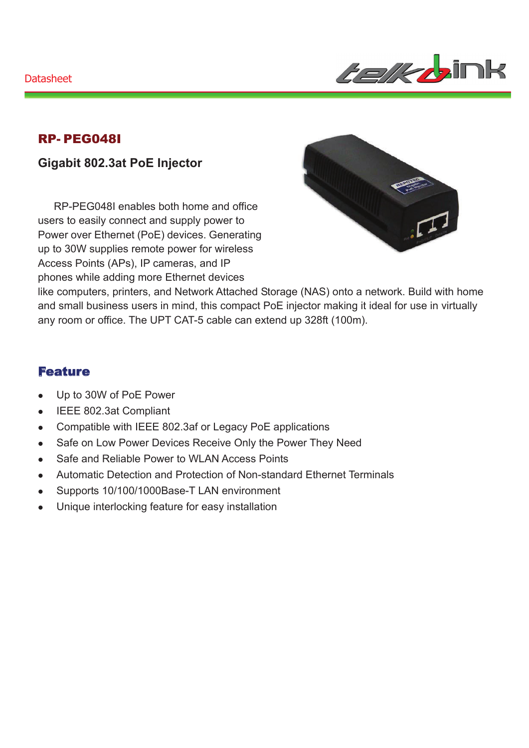#### **Datasheet**



### RP- PEG048I

### **Gigabit 802.3at PoE Injector**

RP-PEG048I enables both home and office users to easily connect and supply power to Power over Ethernet (PoE) devices. Generating up to 30W supplies remote power for wireless Access Points (APs), IP cameras, and IP phones while adding more Ethernet devices



like computers, printers, and Network Attached Storage (NAS) onto a network. Build with home and small business users in mind, this compact PoE injector making it ideal for use in virtually any room or office. The UPT CAT-5 cable can extend up 328ft (100m).

#### Feature

- Up to 30W of PoE Power
- IEEE 802.3at Compliant
- Compatible with IEEE 802.3af or Legacy PoE applications
- Safe on Low Power Devices Receive Only the Power They Need
- Safe and Reliable Power to WLAN Access Points
- Automatic Detection and Protection of Non-standard Ethernet Terminals
- Supports 10/100/1000Base-T LAN environment
- Unique interlocking feature for easy installation